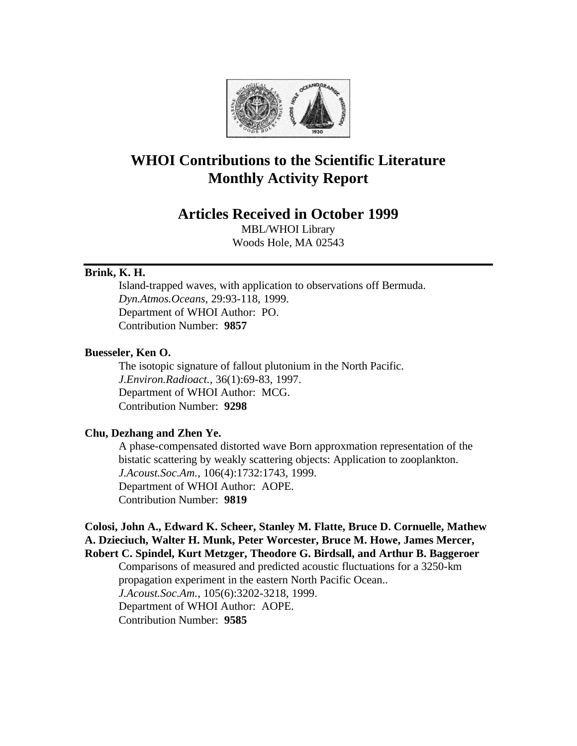

# **WHOI Contributions to the Scientific Literature Monthly Activity Report**

# **Articles Received in October 1999**

MBL/WHOI Library Woods Hole, MA 02543

# **Brink, K. H.**

Island-trapped waves, with application to observations off Bermuda. *Dyn.Atmos.Oceans*, 29:93-118, 1999. Department of WHOI Author: PO. Contribution Number: **9857**

## **Buesseler, Ken O.**

The isotopic signature of fallout plutonium in the North Pacific. *J.Environ.Radioact.*, 36(1):69-83, 1997. Department of WHOI Author: MCG. Contribution Number: **9298**

# **Chu, Dezhang and Zhen Ye.**

A phase-compensated distorted wave Born approxmation representation of the bistatic scattering by weakly scattering objects: Application to zooplankton. *J.Acoust.Soc.Am.*, 106(4):1732:1743, 1999. Department of WHOI Author: AOPE. Contribution Number: **9819**

# **Colosi, John A., Edward K. Scheer, Stanley M. Flatte, Bruce D. Cornuelle, Mathew A. Dzieciuch, Walter H. Munk, Peter Worcester, Bruce M. Howe, James Mercer, Robert C. Spindel, Kurt Metzger, Theodore G. Birdsall, and Arthur B. Baggeroer**

Comparisons of measured and predicted acoustic fluctuations for a 3250-km propagation experiment in the eastern North Pacific Ocean.. *J.Acoust.Soc.Am.*, 105(6):3202-3218, 1999. Department of WHOI Author: AOPE. Contribution Number: **9585**